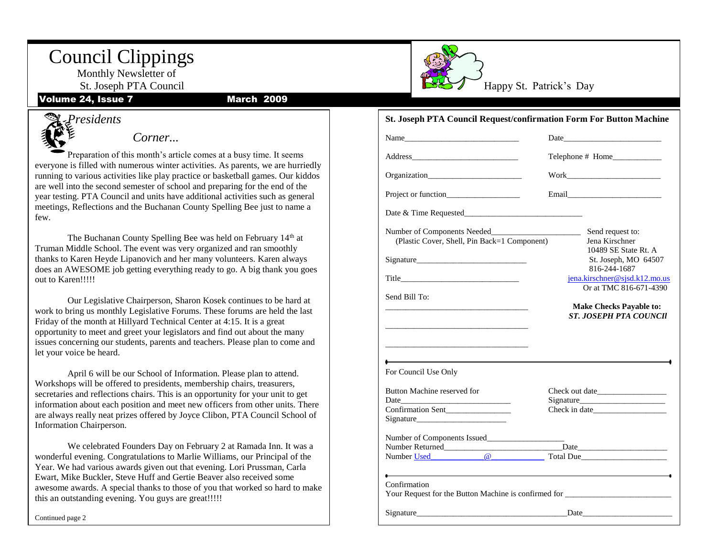# Council Clippings

 Monthly Newsletter of St. Joseph PTA Council Volume 24, Issue 7 March 2009

Happy St. Patrick's Day

#### **St. Joseph PTA Council Request/confirmation Form For Button Machine**

| Name and the same state of the state of the state of the state of the state of the state of the state of the state of the state of the state of the state of the state of the state of the state of the state of the state of |                                                                                                                                                                                                                                |
|-------------------------------------------------------------------------------------------------------------------------------------------------------------------------------------------------------------------------------|--------------------------------------------------------------------------------------------------------------------------------------------------------------------------------------------------------------------------------|
|                                                                                                                                                                                                                               |                                                                                                                                                                                                                                |
|                                                                                                                                                                                                                               | Work and the contract of the contract of the contract of the contract of the contract of the contract of the contract of the contract of the contract of the contract of the contract of the contract of the contract of the c |
|                                                                                                                                                                                                                               |                                                                                                                                                                                                                                |
|                                                                                                                                                                                                                               |                                                                                                                                                                                                                                |
| Number of Components Needed_______<br>(Plastic Cover, Shell, Pin Back=1 Component)                                                                                                                                            | Send request to:<br>$\overline{\phantom{a}}$<br>Jena Kirschner<br>10489 SE State Rt. A                                                                                                                                         |
|                                                                                                                                                                                                                               | St. Joseph, MO 64507                                                                                                                                                                                                           |
|                                                                                                                                                                                                                               | 816-244-1687<br>jena.kirschner@sjsd.k12.mo.us<br>Or at TMC 816-671-4390                                                                                                                                                        |
| Send Bill To:                                                                                                                                                                                                                 |                                                                                                                                                                                                                                |
|                                                                                                                                                                                                                               | <b>Make Checks Payable to:</b><br><b>ST. JOSEPH PTA COUNCIL</b>                                                                                                                                                                |
| the contract of the contract of the contract of the contract of the contract of<br>For Council Use Only                                                                                                                       |                                                                                                                                                                                                                                |
| Button Machine reserved for                                                                                                                                                                                                   |                                                                                                                                                                                                                                |
|                                                                                                                                                                                                                               |                                                                                                                                                                                                                                |
| Confirmation Sent_______________                                                                                                                                                                                              |                                                                                                                                                                                                                                |
|                                                                                                                                                                                                                               |                                                                                                                                                                                                                                |
| Number Used <b>@</b>                                                                                                                                                                                                          | Total Due                                                                                                                                                                                                                      |
| $\overline{\phantom{a}}$                                                                                                                                                                                                      | the control of the control of the control of the control of the control of the control of the control of the control of the control of the control of the control of the control of the control of the control of the control  |
| Confirmation                                                                                                                                                                                                                  | Your Request for the Button Machine is confirmed for                                                                                                                                                                           |
|                                                                                                                                                                                                                               | Signature Date Date                                                                                                                                                                                                            |



#### *Corner...*

Preparation of this month's article comes at a busy time. It seems everyone is filled with numerous winter activities. As parents, we are hurriedly running to various activities like play practice or basketball games. Our kiddos are well into the second semester of school and preparing for the end of the year testing. PTA Council and units have additional activities such as general meetings, Reflections and the Buchanan County Spelling Bee just to name a few.

The Buchanan County Spelling Bee was held on February 14th at Truman Middle School. The event was very organized and ran smoothly thanks to Karen Heyde Lipanovich and her many volunteers. Karen always does an AWESOME job getting everything ready to go. A big thank you goes out to Karen!!!!!

Our Legislative Chairperson, Sharon Kosek continues to be hard at work to bring us monthly Legislative Forums. These forums are held the last Friday of the month at Hillyard Technical Center at 4:15. It is a great opportunity to meet and greet your legislators and find out about the many issues concerning our students, parents and teachers. Please plan to come and let your voice be heard.

April 6 will be our school of information. Please plan to attend<br>Workshops will be offered to presidents, membership chairs, treasurers, April 6 will be our School of Information. Please plan to attend. secretaries and reflections chairs. This is an opportunity for your unit to get information about each position and meet new officers from other units. There are always really neat prizes offered by Joyce Clibon, PTA Council School of Information Chairperson.

We celebrated Founders Day on February 2 at Ramada Inn. It was a wonderful evening. Congratulations to Marlie Williams, our Principal of the Year. We had various awards given out that evening. Lori Prussman, Carla Ewart, Mike Buckler, Steve Huff and Gertie Beaver also received some awesome awards. A special thanks to those of you that worked so hard to make this an outstanding evening. You guys are great!!!!!

Continued page 2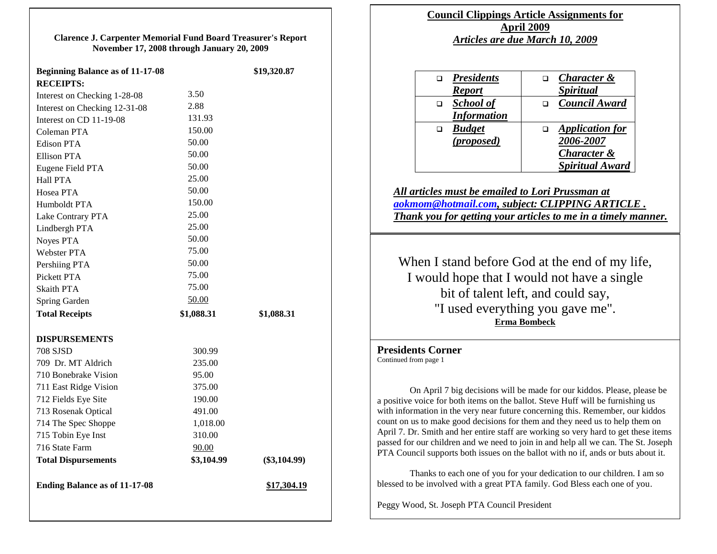**Clarence J. Carpenter Memorial Fund Board Treasurer's Report November 17, 2008 through January 20, 2009**

| <b>Beginning Balance as of 11-17-08</b> |            | \$19,320.87    |
|-----------------------------------------|------------|----------------|
| <b>RECEIPTS:</b>                        |            |                |
| Interest on Checking 1-28-08            | 3.50       |                |
| Interest on Checking 12-31-08           | 2.88       |                |
| Interest on CD 11-19-08                 | 131.93     |                |
| Coleman PTA                             | 150.00     |                |
| <b>Edison PTA</b>                       | 50.00      |                |
| <b>Ellison PTA</b>                      | 50.00      |                |
| Eugene Field PTA                        | 50.00      |                |
| <b>Hall PTA</b>                         | 25.00      |                |
| Hosea PTA                               | 50.00      |                |
| Humboldt PTA                            | 150.00     |                |
| Lake Contrary PTA                       | 25.00      |                |
| Lindbergh PTA                           | 25.00      |                |
| Noyes PTA                               | 50.00      |                |
| Webster PTA                             | 75.00      |                |
| Pershiing PTA                           | 50.00      |                |
| Pickett PTA                             | 75.00      |                |
| <b>Skaith PTA</b>                       | 75.00      |                |
| Spring Garden                           | 50.00      |                |
| <b>Total Receipts</b>                   | \$1,088.31 | \$1,088.31     |
| <b>DISPURSEMENTS</b>                    |            |                |
| 708 SJSD                                | 300.99     |                |
| 709 Dr. MT Aldrich                      | 235.00     |                |
| 710 Bonebrake Vision                    | 95.00      |                |
| 711 East Ridge Vision                   | 375.00     |                |
| 712 Fields Eye Site                     | 190.00     |                |
| 713 Rosenak Optical                     | 491.00     |                |
| 714 The Spec Shoppe                     | 1,018.00   |                |
| 715 Tobin Eye Inst                      | 310.00     |                |
| 716 State Farm                          | 90.00      |                |
| <b>Total Dispursements</b>              | \$3,104.99 | $(\$3,104.99)$ |
| <b>Ending Balance as of 11-17-08</b>    |            | \$17,304.19    |

### **Council Clippings Article Assignments for April 2009** *Articles are due March 10, 2009*

| <b>Character &amp;</b>  |
|-------------------------|
| <i><b>Spiritual</b></i> |
| <b>Council Award</b>    |
|                         |
| <b>Application</b> for  |
| 2006-2007               |
| <b>Character &amp;</b>  |
| <b>Spiritual Award</b>  |
|                         |

*All articles must be emailed to Lori Prussman at [aokmom@hotmail.com,](mailto:aokmom@hotmail.com) subject: CLIPPING ARTICLE . Thank you for getting your articles to me in a timely manner.*

When I stand before God at the end of my life, I would hope that I would not have a single bit of talent left, and could say, "I used everything you gave me". **[Erma Bombeck](http://www.brainyquote.com/quotes/authors/e/erma_bombeck.html)**

**Presidents Corner** Continued from page 1

On April 7 big decisions will be made for our kiddos. Please, please be a positive voice for both items on the ballot. Steve Huff will be furnishing us with information in the very near future concerning this. Remember, our kiddos count on us to make good decisions for them and they need us to help them on April 7. Dr. Smith and her entire staff are working so very hard to get these items passed for our children and we need to join in and help all we can. The St. Joseph PTA Council supports both issues on the ballot with no if, ands or buts about it.

Thanks to each one of you for your dedication to our children. I am so blessed to be involved with a great PTA family. God Bless each one of you.

Peggy Wood, St. Joseph PTA Council President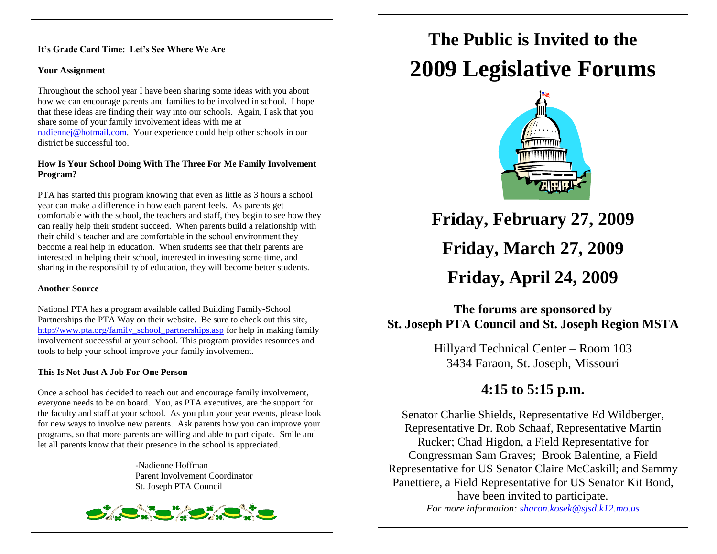#### **It's Grade Card Time: Let's See Where We Are**

#### **Your Assignment**

Throughout the school year I have been sharing some ideas with you about how we can encourage parents and families to be involved in school. I hope that these ideas are finding their way into our schools. Again, I ask that you share some of your family involvement ideas with me at

[nadiennej@hotmail.com.](mailto:nadiennej@hotmail.com) Your experience could help other schools in our district be successful too.

#### **How Is Your School Doing With The Three For Me Family Involvement Program?**

PTA has started this program knowing that even as little as 3 hours a school year can make a difference in how each parent feels. As parents get comfortable with the school, the teachers and staff, they begin to see how they can really help their student succeed. When parents build a relationship with their child's teacher and are comfortable in the school environment they become a real help in education. When students see that their parents are interested in helping their school, interested in investing some time, and sharing in the responsibility of education, they will become better students.

#### **Another Source**

National PTA has a program available called Building Family-School Partnerships the PTA Way on their website. Be sure to check out this site, [http://www.pta.org/family\\_school\\_partnerships.asp](http://www.pta.org/family_school_partnerships.asp) for help in making family involvement successful at your school. This program provides resources and tools to help your school improve your family involvement.

#### **This Is Not Just A Job For One Person**

Once a school has decided to reach out and encourage family involvement, everyone needs to be on board. You, as PTA executives, are the support for the faculty and staff at your school. As you plan your year events, please look for new ways to involve new parents. Ask parents how you can improve your programs, so that more parents are willing and able to participate. Smile and let all parents know that their presence in the school is appreciated.

> -Nadienne Hoffman Parent Involvement Coordinator St. Joseph PTA Council



# **The Public is Invited to the 2009 Legislative Forums**



**Friday, February 27, 2009**

# **Friday, March 27, 2009**

**Friday, April 24, 2009**

# **The forums are sponsored by St. Joseph PTA Council and St. Joseph Region MSTA**

Hillyard Technical Center – Room 103 3434 Faraon, St. Joseph, Missouri

# **4:15 to 5:15 p.m.**

Senator Charlie Shields, Representative Ed Wildberger, Representative Dr. Rob Schaaf, Representative Martin Rucker; Chad Higdon, a Field Representative for Congressman Sam Graves; Brook Balentine, a Field Representative for US Senator Claire McCaskill; and Sammy Panettiere, a Field Representative for US Senator Kit Bond, have been invited to participate. *For more information: [sharon.kosek@sjsd.k12.mo.us](mailto:sharon.kosek@sjsd.k12.mo.us)*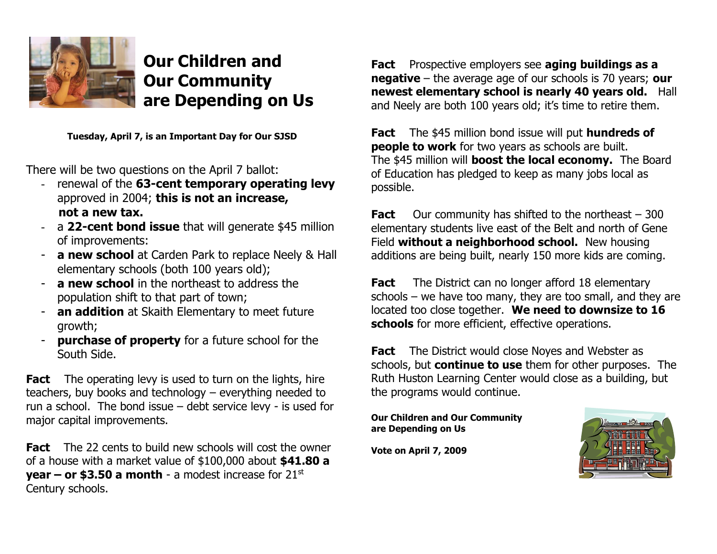

**Our Children and Our Community are Depending on Us**

**Tuesday, April 7, is an Important Day for Our SJSD**

There will be two questions on the April 7 ballot:

- renewal of the **63-cent temporary operating levy** approved in 2004; **this is not an increase, not a new tax.**
- a **22-cent bond issue** that will generate \$45 million of improvements:
- **a new school** at Carden Park to replace Neely & Hall elementary schools (both 100 years old);
- **a new school** in the northeast to address the population shift to that part of town;
- an addition at Skaith Elementary to meet future growth;
- **purchase of property** for a future school for the South Side.

**Fact** The operating levy is used to turn on the lights, hire teachers, buy books and technology – everything needed to run a school. The bond issue – debt service levy - is used for major capital improvements.

**Fact** The 22 cents to build new schools will cost the owner of a house with a market value of \$100,000 about **\$41.80 a year – or \$3.50 a month** - a modest increase for 21<sup>st</sup> Century schools.

**Fact** Prospective employers see **aging buildings as a negative** – the average age of our schools is 70 years; **our newest elementary school is nearly 40 years old.** Hall and Neely are both 100 years old; it's time to retire them.

**Fact** The \$45 million bond issue will put **hundreds of people to work** for two years as schools are built. The \$45 million will **boost the local economy.** The Board of Education has pledged to keep as many jobs local as possible.

**Fact** Our community has shifted to the northeast – 300 elementary students live east of the Belt and north of Gene Field **without a neighborhood school.** New housing additions are being built, nearly 150 more kids are coming.

**Fact** The District can no longer afford 18 elementary schools – we have too many, they are too small, and they are located too close together. **We need to downsize to 16 schools** for more efficient, effective operations.

**Fact** The District would close Noyes and Webster as schools, but **continue to use** them for other purposes. The Ruth Huston Learning Center would close as a building, but the programs would continue.

**Our Children and Our Community are Depending on Us**

**Vote on April 7, 2009**

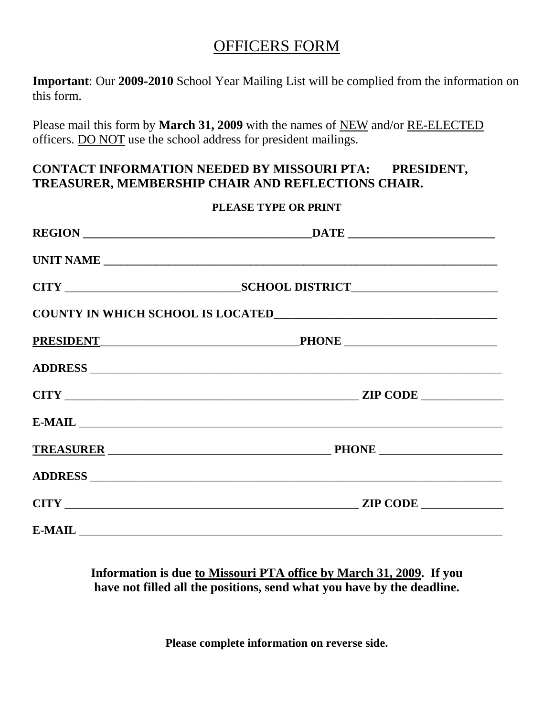# OFFICERS FORM

**Important**: Our **2009-2010** School Year Mailing List will be complied from the information on this form.

Please mail this form by **March 31, 2009** with the names of NEW and/or RE-ELECTED officers. DO NOT use the school address for president mailings.

# **CONTACT INFORMATION NEEDED BY MISSOURI PTA: PRESIDENT, TREASURER, MEMBERSHIP CHAIR AND REFLECTIONS CHAIR.**

### **PLEASE TYPE OR PRINT**

| PRESIDENT PHONE PHONE |  |
|-----------------------|--|
|                       |  |
|                       |  |
|                       |  |
|                       |  |
|                       |  |
|                       |  |
|                       |  |

### **Information is due to Missouri PTA office by March 31, 2009. If you have not filled all the positions, send what you have by the deadline.**

**Please complete information on reverse side.**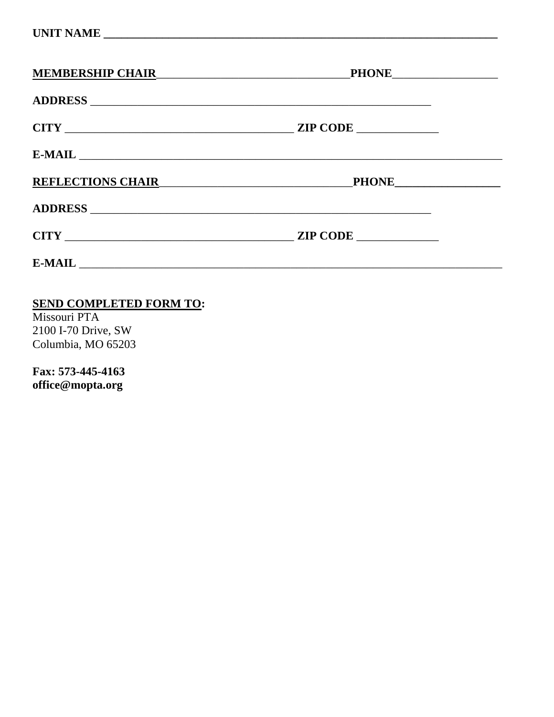| <b>MEMBERSHIP CHAIR</b>                                                                                                                                                                                                          |             |  |
|----------------------------------------------------------------------------------------------------------------------------------------------------------------------------------------------------------------------------------|-------------|--|
|                                                                                                                                                                                                                                  |             |  |
| CITY                                                                                                                                                                                                                             | ZIP CODE    |  |
|                                                                                                                                                                                                                                  |             |  |
| REFLECTIONS CHAIR<br>The Manual Chain State of the Manual Chain State of the Manual Chain State of the Manual Chain State of the Manual Chain State of the Manual Chain State of the Manual Chain State of the Manual Chain Stat | PHONE PHONE |  |
|                                                                                                                                                                                                                                  |             |  |
|                                                                                                                                                                                                                                  | ZIP CODE    |  |
|                                                                                                                                                                                                                                  |             |  |
|                                                                                                                                                                                                                                  |             |  |

### **SEND COMPLETED FORM TO:**

Missouri PTA 2100 I-70 Drive, SW Columbia, MO 65203

Fax: 573-445-4163 office@mopta.org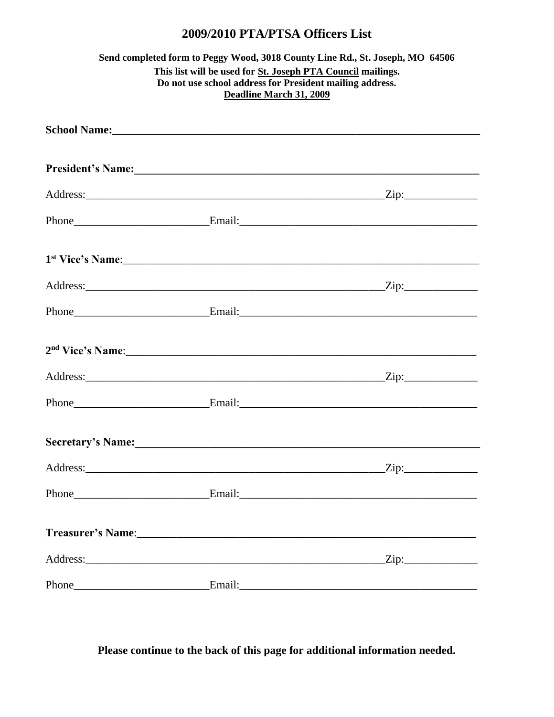# 2009/2010 PTA/PTSA Officers List

| Send completed form to Peggy Wood, 3018 County Line Rd., St. Joseph, MO 64506<br>This list will be used for St. Joseph PTA Council mailings.<br>Do not use school address for President mailing address.<br>Deadline March 31, 2009 |                                                                                                                                                                                                                                |  |
|-------------------------------------------------------------------------------------------------------------------------------------------------------------------------------------------------------------------------------------|--------------------------------------------------------------------------------------------------------------------------------------------------------------------------------------------------------------------------------|--|
|                                                                                                                                                                                                                                     |                                                                                                                                                                                                                                |  |
|                                                                                                                                                                                                                                     | President's Name: 1988. Contact the Contract of the Contract of the Contract of the Contract of the Contract of the Contract of the Contract of the Contract of the Contract of the Contract of the Contract of the Contract o |  |
|                                                                                                                                                                                                                                     |                                                                                                                                                                                                                                |  |
|                                                                                                                                                                                                                                     |                                                                                                                                                                                                                                |  |
|                                                                                                                                                                                                                                     |                                                                                                                                                                                                                                |  |
|                                                                                                                                                                                                                                     |                                                                                                                                                                                                                                |  |
|                                                                                                                                                                                                                                     |                                                                                                                                                                                                                                |  |
|                                                                                                                                                                                                                                     |                                                                                                                                                                                                                                |  |
|                                                                                                                                                                                                                                     |                                                                                                                                                                                                                                |  |
|                                                                                                                                                                                                                                     |                                                                                                                                                                                                                                |  |
|                                                                                                                                                                                                                                     | Secretary's Name: 1988 Manual Manual Manual Manual Manual Manual Manual Manual Manual Manual Manual Manual Manual Ma                                                                                                           |  |
|                                                                                                                                                                                                                                     |                                                                                                                                                                                                                                |  |
|                                                                                                                                                                                                                                     |                                                                                                                                                                                                                                |  |
|                                                                                                                                                                                                                                     |                                                                                                                                                                                                                                |  |
|                                                                                                                                                                                                                                     |                                                                                                                                                                                                                                |  |
|                                                                                                                                                                                                                                     |                                                                                                                                                                                                                                |  |

Please continue to the back of this page for additional information needed.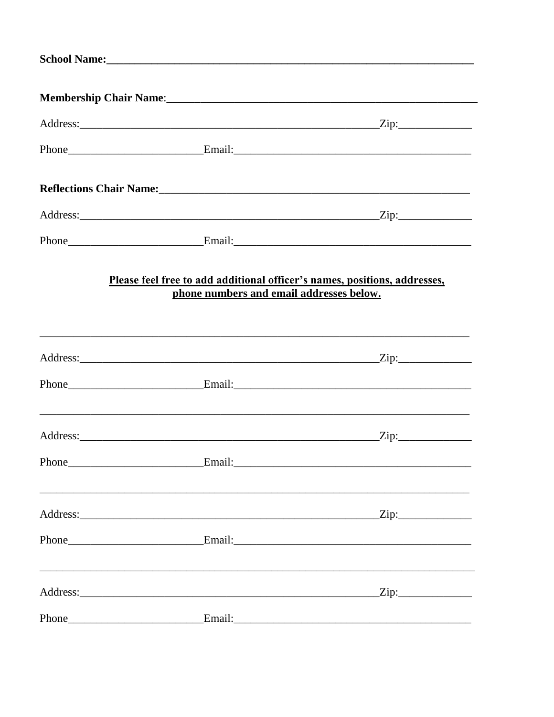|       |                                                                                                                       | Membership Chair Name: 1988 Manual Manual Membership Chair Name: 1988 |
|-------|-----------------------------------------------------------------------------------------------------------------------|-----------------------------------------------------------------------|
|       |                                                                                                                       |                                                                       |
|       |                                                                                                                       |                                                                       |
|       | Reflections Chair Name: Mannel Mannel Mannel Mannel Mannel Mannel Mannel Mannel Mannel Mannel Mannel Mannel Ma        |                                                                       |
|       |                                                                                                                       |                                                                       |
|       |                                                                                                                       |                                                                       |
|       | Please feel free to add additional officer's names, positions, addresses,<br>phone numbers and email addresses below. |                                                                       |
|       |                                                                                                                       |                                                                       |
|       |                                                                                                                       |                                                                       |
|       |                                                                                                                       |                                                                       |
| Phone | <b>Email:</b>                                                                                                         |                                                                       |
|       |                                                                                                                       |                                                                       |
|       |                                                                                                                       |                                                                       |
|       |                                                                                                                       | $\frac{2}{\text{lip}}$                                                |
|       |                                                                                                                       |                                                                       |